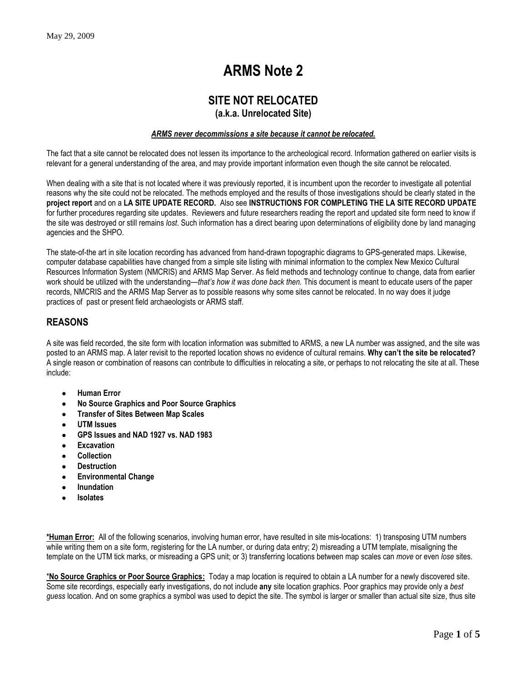# **ARMS Note 2**

# **SITE NOT RELOCATED**

## **(a.k.a. Unrelocated Site)**

#### *ARMS never decommissions a site because it cannot be relocated.*

The fact that a site cannot be relocated does not lessen its importance to the archeological record. Information gathered on earlier visits is relevant for a general understanding of the area, and may provide important information even though the site cannot be relocated.

When dealing with a site that is not located where it was previously reported, it is incumbent upon the recorder to investigate all potential reasons why the site could not be relocated. The methods employed and the results of those investigations should be clearly stated in the **project report** and on a **LA SITE UPDATE RECORD.** Also see **INSTRUCTIONS FOR COMPLETING THE LA SITE RECORD UPDATE** for further procedures regarding site updates. Reviewers and future researchers reading the report and updated site form need to know if the site was destroyed or still remains *lost*. Such information has a direct bearing upon determinations of eligibility done by land managing agencies and the SHPO.

The state-of-the art in site location recording has advanced from hand-drawn topographic diagrams to GPS-generated maps. Likewise, computer database capabilities have changed from a simple site listing with minimal information to the complex New Mexico Cultural Resources Information System (NMCRIS) and ARMS Map Server. As field methods and technology continue to change, data from earlier work should be utilized with the understanding—*that's how it was done back then.* This document is meant to educate users of the paper records, NMCRIS and the ARMS Map Server as to possible reasons why some sites cannot be relocated. In no way does it judge practices of past or present field archaeologists or ARMS staff.

## **REASONS**

A site was field recorded, the site form with location information was submitted to ARMS, a new LA number was assigned, and the site was posted to an ARMS map. A later revisit to the reported location shows no evidence of cultural remains. **Why can't the site be relocated?**  A single reason or combination of reasons can contribute to difficulties in relocating a site, or perhaps to not relocating the site at all. These include:

- **Human Error**
- **No Source Graphics and Poor Source Graphics**
- **Transfer of Sites Between Map Scales**
- **UTM Issues**
- **GPS Issues and NAD 1927 vs. NAD 1983**
- **Excavation**
- **Collection**
- **Destruction**
- **Environmental Change**
- **Inundation**
- **Isolates**

**\*Human Error:** All of the following scenarios, involving human error, have resulted in site mis-locations: 1) transposing UTM numbers while writing them on a site form, registering for the LA number, or during data entry; 2) misreading a UTM template, misaligning the template on the UTM tick marks, or misreading a GPS unit; or 3) transferring locations between map scales can *move* or even *lose* sites.

\***No Source Graphics or Poor Source Graphics:** Today a map location is required to obtain a LA number for a newly discovered site. Some site recordings, especially early investigations, do not include **any** site location graphics. Poor graphics may provide only a *best guess* location. And on some graphics a symbol was used to depict the site. The symbol is larger or smaller than actual site size, thus site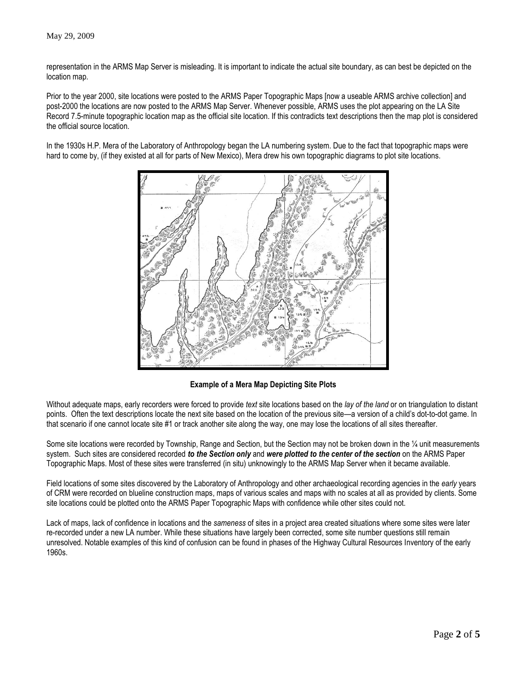representation in the ARMS Map Server is misleading. It is important to indicate the actual site boundary, as can best be depicted on the location map.

Prior to the year 2000, site locations were posted to the ARMS Paper Topographic Maps [now a useable ARMS archive collection] and post-2000 the locations are now posted to the ARMS Map Server. Whenever possible, ARMS uses the plot appearing on the LA Site Record 7.5-minute topographic location map as the official site location. If this contradicts text descriptions then the map plot is considered the official source location.

In the 1930s H.P. Mera of the Laboratory of Anthropology began the LA numbering system. Due to the fact that topographic maps were hard to come by, (if they existed at all for parts of New Mexico), Mera drew his own topographic diagrams to plot site locations.



**Example of a Mera Map Depicting Site Plots**

Without adequate maps, early recorders were forced to provide *text* site locations based on the *lay of the land* or on triangulation to distant points. Often the text descriptions locate the next site based on the location of the previous site—a version of a child's dot-to-dot game. In that scenario if one cannot locate site #1 or track another site along the way, one may lose the locations of all sites thereafter.

Some site locations were recorded by Township, Range and Section, but the Section may not be broken down in the 1/4 unit measurements system. Such sites are considered recorded *to the Section only* and *were plotted to the center of the section* on the ARMS Paper Topographic Maps. Most of these sites were transferred (in situ) unknowingly to the ARMS Map Server when it became available.

Field locations of some sites discovered by the Laboratory of Anthropology and other archaeological recording agencies in the *early* years of CRM were recorded on blueline construction maps, maps of various scales and maps with no scales at all as provided by clients. Some site locations could be plotted onto the ARMS Paper Topographic Maps with confidence while other sites could not.

Lack of maps, lack of confidence in locations and the *sameness* of sites in a project area created situations where some sites were later re-recorded under a new LA number. While these situations have largely been corrected, some site number questions still remain unresolved. Notable examples of this kind of confusion can be found in phases of the Highway Cultural Resources Inventory of the early 1960s.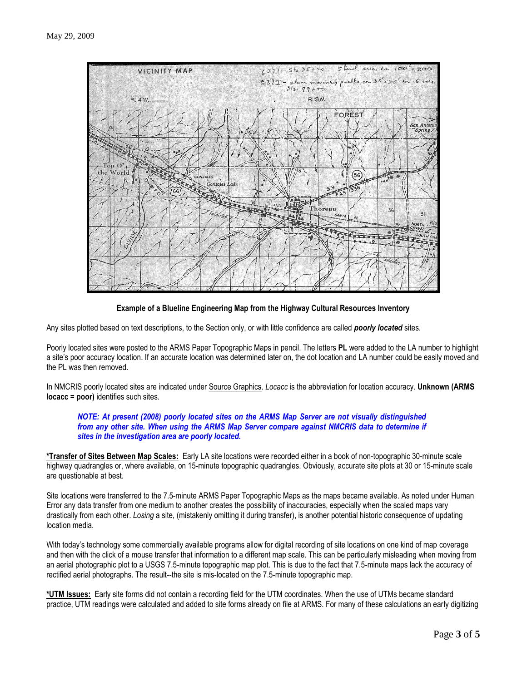

**Example of a Blueline Engineering Map from the Highway Cultural Resources Inventory**

Any sites plotted based on text descriptions, to the Section only, or with little confidence are called *poorly located* sites.

Poorly located sites were posted to the ARMS Paper Topographic Maps in pencil. The letters **PL** were added to the LA number to highlight a site's poor accuracy location. If an accurate location was determined later on, the dot location and LA number could be easily moved and the PL was then removed.

In NMCRIS poorly located sites are indicated under Source Graphics. *Locacc* is the abbreviation for location accuracy. **Unknown (ARMS locacc = poor)** identifies such sites.

#### *NOTE: At present (2008) poorly located sites on the ARMS Map Server are not visually distinguished from any other site. When using the ARMS Map Server compare against NMCRIS data to determine if sites in the investigation area are poorly located.*

**\*Transfer of Sites Between Map Scales:** Early LA site locations were recorded either in a book of non-topographic 30-minute scale highway quadrangles or, where available, on 15-minute topographic quadrangles. Obviously, accurate site plots at 30 or 15-minute scale are questionable at best.

Site locations were transferred to the 7.5-minute ARMS Paper Topographic Maps as the maps became available. As noted under Human Error any data transfer from one medium to another creates the possibility of inaccuracies, especially when the scaled maps vary drastically from each other. *Losing* a site, (mistakenly omitting it during transfer), is another potential historic consequence of updating location media.

With today's technology some commercially available programs allow for digital recording of site locations on one kind of map coverage and then with the click of a mouse transfer that information to a different map scale. This can be particularly misleading when moving from an aerial photographic plot to a USGS 7.5-minute topographic map plot. This is due to the fact that 7.5-minute maps lack the accuracy of rectified aerial photographs. The result--the site is mis-located on the 7.5-minute topographic map.

**\*UTM Issues:** Early site forms did not contain a recording field for the UTM coordinates. When the use of UTMs became standard practice, UTM readings were calculated and added to site forms already on file at ARMS. For many of these calculations an early digitizing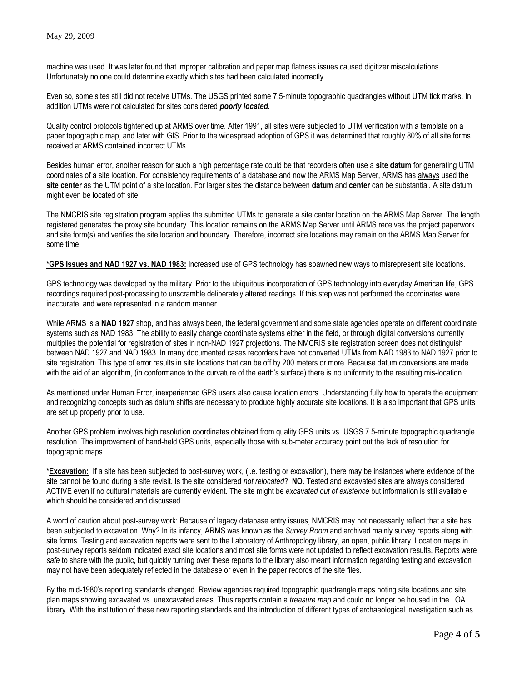machine was used. It was later found that improper calibration and paper map flatness issues caused digitizer miscalculations. Unfortunately no one could determine exactly which sites had been calculated incorrectly.

Even so, some sites still did not receive UTMs. The USGS printed some 7.5-minute topographic quadrangles without UTM tick marks. In addition UTMs were not calculated for sites considered *poorly located.*

Quality control protocols tightened up at ARMS over time. After 1991, all sites were subjected to UTM verification with a template on a paper topographic map, and later with GIS. Prior to the widespread adoption of GPS it was determined that roughly 80% of all site forms received at ARMS contained incorrect UTMs.

Besides human error, another reason for such a high percentage rate could be that recorders often use a **site datum** for generating UTM coordinates of a site location. For consistency requirements of a database and now the ARMS Map Server, ARMS has always used the **site center** as the UTM point of a site location. For larger sites the distance between **datum** and **center** can be substantial. A site datum might even be located off site.

The NMCRIS site registration program applies the submitted UTMs to generate a site center location on the ARMS Map Server. The length registered generates the proxy site boundary. This location remains on the ARMS Map Server until ARMS receives the project paperwork and site form(s) and verifies the site location and boundary. Therefore, incorrect site locations may remain on the ARMS Map Server for some time.

**\*GPS Issues and NAD 1927 vs. NAD 1983:** Increased use of GPS technology has spawned new ways to misrepresent site locations.

GPS technology was developed by the military. Prior to the ubiquitous incorporation of GPS technology into everyday American life, GPS recordings required post-processing to unscramble deliberately altered readings. If this step was not performed the coordinates were inaccurate, and were represented in a random manner.

While ARMS is a **NAD 1927** shop, and has always been, the federal government and some state agencies operate on different coordinate systems such as NAD 1983. The ability to easily change coordinate systems either in the field, or through digital conversions currently multiplies the potential for registration of sites in non-NAD 1927 projections. The NMCRIS site registration screen does not distinguish between NAD 1927 and NAD 1983. In many documented cases recorders have not converted UTMs from NAD 1983 to NAD 1927 prior to site registration. This type of error results in site locations that can be off by 200 meters or more. Because datum conversions are made with the aid of an algorithm, (in conformance to the curvature of the earth's surface) there is no uniformity to the resulting mis-location.

As mentioned under Human Error, inexperienced GPS users also cause location errors. Understanding fully how to operate the equipment and recognizing concepts such as datum shifts are necessary to produce highly accurate site locations. It is also important that GPS units are set up properly prior to use.

Another GPS problem involves high resolution coordinates obtained from quality GPS units vs. USGS 7.5-minute topographic quadrangle resolution. The improvement of hand-held GPS units, especially those with sub-meter accuracy point out the lack of resolution for topographic maps.

**\*Excavation:** If a site has been subjected to post-survey work, (i.e. testing or excavation), there may be instances where evidence of the site cannot be found during a site revisit. Is the site considered *not relocated*? **NO**. Tested and excavated sites are always considered ACTIVE even if no cultural materials are currently evident. The site might be *excavated out of existence* but information is still available which should be considered and discussed.

A word of caution about post-survey work: Because of legacy database entry issues, NMCRIS may not necessarily reflect that a site has been subjected to excavation. Why? In its infancy, ARMS was known as the *Survey Room* and archived mainly survey reports along with site forms. Testing and excavation reports were sent to the Laboratory of Anthropology library, an open, public library. Location maps in post-survey reports seldom indicated exact site locations and most site forms were not updated to reflect excavation results. Reports were *safe* to share with the public, but quickly turning over these reports to the library also meant information regarding testing and excavation may not have been adequately reflected in the database or even in the paper records of the site files.

By the mid-1980's reporting standards changed. Review agencies required topographic quadrangle maps noting site locations and site plan maps showing excavated vs. unexcavated areas. Thus reports contain a *treasure map* and could no longer be housed in the LOA library. With the institution of these new reporting standards and the introduction of different types of archaeological investigation such as